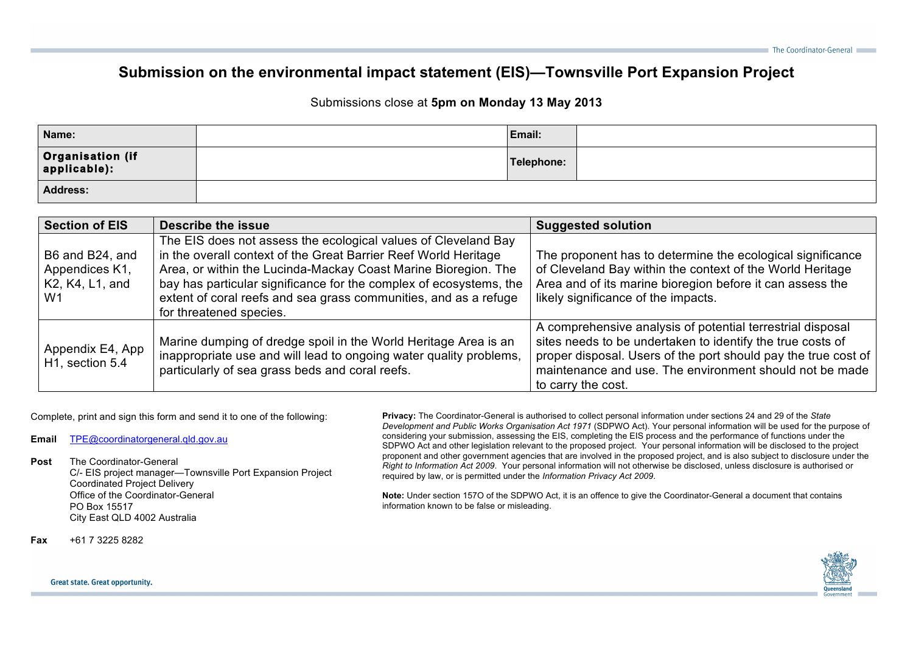## **Submission on the environmental impact statement (EIS)—Townsville Port Expansion Project**

## Submissions close at **5pm on Monday 13 May 2013**

| Name:                              | Email:     |  |
|------------------------------------|------------|--|
| Organisation (if<br>  applicable): | Telephone: |  |
| <b>Address:</b>                    |            |  |

| <b>Section of EIS</b>                                      | <b>Describe the issue</b>                                                                                                                                                                                                                                                                                                                                                | <b>Suggested solution</b>                                                                                                                                                                                                                                                   |
|------------------------------------------------------------|--------------------------------------------------------------------------------------------------------------------------------------------------------------------------------------------------------------------------------------------------------------------------------------------------------------------------------------------------------------------------|-----------------------------------------------------------------------------------------------------------------------------------------------------------------------------------------------------------------------------------------------------------------------------|
| B6 and B24, and<br>Appendices K1,<br>K2, K4, L1, and<br>W1 | The EIS does not assess the ecological values of Cleveland Bay<br>in the overall context of the Great Barrier Reef World Heritage<br>Area, or within the Lucinda-Mackay Coast Marine Bioregion. The<br>bay has particular significance for the complex of ecosystems, the<br>extent of coral reefs and sea grass communities, and as a refuge<br>for threatened species. | The proponent has to determine the ecological significance<br>of Cleveland Bay within the context of the World Heritage<br>Area and of its marine bioregion before it can assess the<br>likely significance of the impacts.                                                 |
| Appendix E4, App<br>H <sub>1</sub> , section 5.4           | Marine dumping of dredge spoil in the World Heritage Area is an<br>inappropriate use and will lead to ongoing water quality problems,<br>particularly of sea grass beds and coral reefs.                                                                                                                                                                                 | A comprehensive analysis of potential terrestrial disposal<br>sites needs to be undertaken to identify the true costs of<br>proper disposal. Users of the port should pay the true cost of<br>maintenance and use. The environment should not be made<br>to carry the cost. |

Complete, print and sign this form and send it to one of the following:

**Email** TPE@coordinatorgeneral.qld.gov.au

## **Post** The Coordinator-General

C/- EIS project manager—Townsville Port Expansion Project Coordinated Project Delivery Office of the Coordinator-General PO Box 15517 City East QLD 4002 Australia

**Privacy:** The Coordinator-General is authorised to collect personal information under sections 24 and 29 of the *State Development and Public Works Organisation Act 1971* (SDPWO Act). Your personal information will be used for the purpose of considering your submission, assessing the EIS, completing the EIS process and the performance of functions under the SDPWO Act and other legislation relevant to the proposed project. Your personal information will be disclosed to the project proponent and other government agencies that are involved in the proposed project, and is also subject to disclosure under the *Right to Information Act 2009*. Your personal information will not otherwise be disclosed, unless disclosure is authorised or required by law, or is permitted under the *Information Privacy Act 2009*.

**Note:** Under section 157O of the SDPWO Act, it is an offence to give the Coordinator-General a document that contains information known to be false or misleading.

**Fax** +61 7 3225 8282



## Great state. Great opportunity.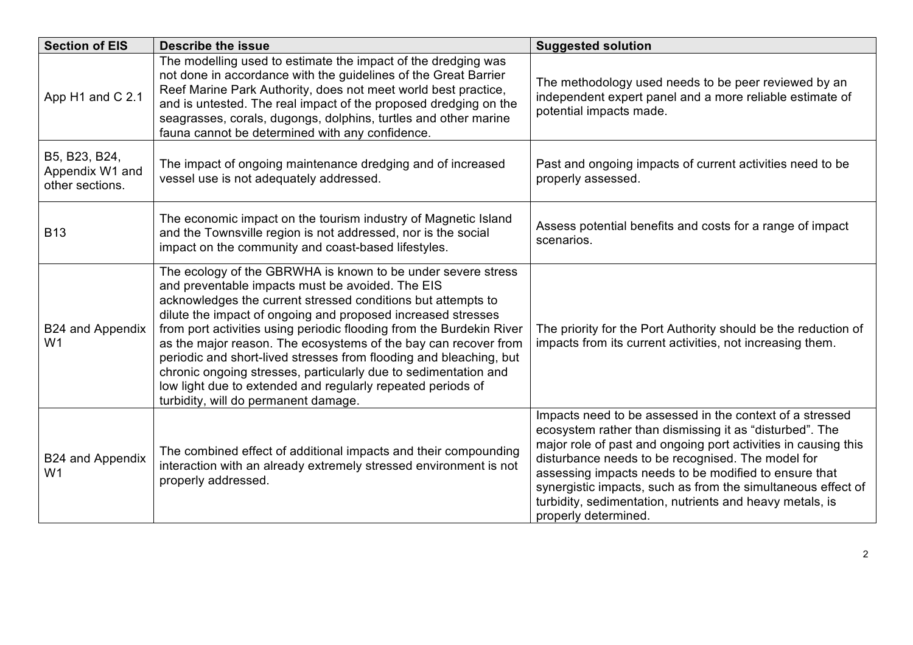| <b>Section of EIS</b>                               | <b>Describe the issue</b>                                                                                                                                                                                                                                                                                                                                                                                                                                                                                                                                                                                                                   | <b>Suggested solution</b>                                                                                                                                                                                                                                                                                                                                                                                                                               |
|-----------------------------------------------------|---------------------------------------------------------------------------------------------------------------------------------------------------------------------------------------------------------------------------------------------------------------------------------------------------------------------------------------------------------------------------------------------------------------------------------------------------------------------------------------------------------------------------------------------------------------------------------------------------------------------------------------------|---------------------------------------------------------------------------------------------------------------------------------------------------------------------------------------------------------------------------------------------------------------------------------------------------------------------------------------------------------------------------------------------------------------------------------------------------------|
| App H1 and C 2.1                                    | The modelling used to estimate the impact of the dredging was<br>not done in accordance with the guidelines of the Great Barrier<br>Reef Marine Park Authority, does not meet world best practice,<br>and is untested. The real impact of the proposed dredging on the<br>seagrasses, corals, dugongs, dolphins, turtles and other marine<br>fauna cannot be determined with any confidence.                                                                                                                                                                                                                                                | The methodology used needs to be peer reviewed by an<br>independent expert panel and a more reliable estimate of<br>potential impacts made.                                                                                                                                                                                                                                                                                                             |
| B5, B23, B24,<br>Appendix W1 and<br>other sections. | The impact of ongoing maintenance dredging and of increased<br>vessel use is not adequately addressed.                                                                                                                                                                                                                                                                                                                                                                                                                                                                                                                                      | Past and ongoing impacts of current activities need to be<br>properly assessed.                                                                                                                                                                                                                                                                                                                                                                         |
| <b>B13</b>                                          | The economic impact on the tourism industry of Magnetic Island<br>and the Townsville region is not addressed, nor is the social<br>impact on the community and coast-based lifestyles.                                                                                                                                                                                                                                                                                                                                                                                                                                                      | Assess potential benefits and costs for a range of impact<br>scenarios.                                                                                                                                                                                                                                                                                                                                                                                 |
| <b>B24 and Appendix</b><br>W1                       | The ecology of the GBRWHA is known to be under severe stress<br>and preventable impacts must be avoided. The EIS<br>acknowledges the current stressed conditions but attempts to<br>dilute the impact of ongoing and proposed increased stresses<br>from port activities using periodic flooding from the Burdekin River<br>as the major reason. The ecosystems of the bay can recover from<br>periodic and short-lived stresses from flooding and bleaching, but<br>chronic ongoing stresses, particularly due to sedimentation and<br>low light due to extended and regularly repeated periods of<br>turbidity, will do permanent damage. | The priority for the Port Authority should be the reduction of<br>impacts from its current activities, not increasing them.                                                                                                                                                                                                                                                                                                                             |
| B24 and Appendix<br>W <sub>1</sub>                  | The combined effect of additional impacts and their compounding<br>interaction with an already extremely stressed environment is not<br>properly addressed.                                                                                                                                                                                                                                                                                                                                                                                                                                                                                 | Impacts need to be assessed in the context of a stressed<br>ecosystem rather than dismissing it as "disturbed". The<br>major role of past and ongoing port activities in causing this<br>disturbance needs to be recognised. The model for<br>assessing impacts needs to be modified to ensure that<br>synergistic impacts, such as from the simultaneous effect of<br>turbidity, sedimentation, nutrients and heavy metals, is<br>properly determined. |